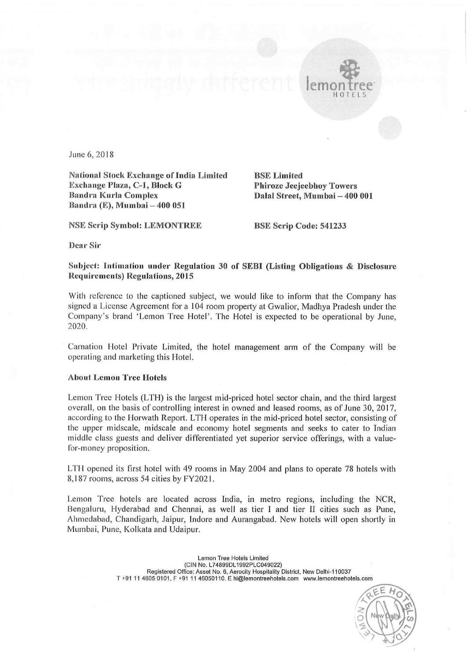

June 6, 2018

National Stock Exchange ot'India Limited BSE Limited Exchange Plaza, C-1, Block G<br>Bandra Kurla Complex Bandra Kurla Complex Dalal Street, Mumbai — 400 001 Bandra (E), Mumbai — 400 051

NSE Scrip Symbol: LEMONTREE BSE Scrip Code: 541233

Dear Sir

## Subject: Intimation under Regulation <sup>30</sup> of SEBI (Listing Obligations & Disclosure Requirements) Regulations, 2015

With reference to the captioned subject, we would like to inform that the Company has signed <sup>a</sup> License Agreement for <sup>a</sup> <sup>104</sup> room property at Gwalior, Madhya Pradesh under the Company's brand 'Lemon Tree Hotel'. The Hotel is expected to be operational by June, 2020.

Carnation Hotel Private Limited, the hotel management arm of the Company will be operating and marketing this Hotel.

## About Lemon Tree Hotels

Lemon Tree Hotels (LTH) is the largest mid-priced hotel sector chain, and the third largest overall, on the basis of controlling interest in owned and leased rooms, as of June 30, 2017, according to the Horwath Report. LTH operates in the mid-priced hotel sector, consisting of the upper midscale, midscale and economy hotel segments and seeks to cater to Indian middle class guests and deliver differentiated yet superior service offerings, with <sup>a</sup> valuefor-money proposition.

LTIl opened its first hotel with <sup>49</sup> rooms in May <sup>2004</sup> and plans to operate <sup>78</sup> hotels with 8,187 rooms, across 54 cities by FY2021.

Lemon Tree hotels are located across India, in metro regions, including the NCR, Bengaluru, Hyderabad and Chennai, as well as tier <sup>1</sup> and tier <sup>11</sup> cities such as Pune, Ahmedabad, Chandigarh, Jaipur, Indore and Aurangabad. New hotels will open shortly in Mumbai, Pune, Kolkata and Udaipur.

> Lemon Tree Hotels Limited (ClN No. L74899DL1992PLC049022) Registered Office: Asset No. 6, Aerocity Hospitality District, New Delhi-110037 T +91 <sup>11</sup> 4605 0101, <sup>F</sup> +91 <sup>11</sup> 46050110. <sup>E</sup> hi@temontreehotels.corn www.lemontreehotels.com